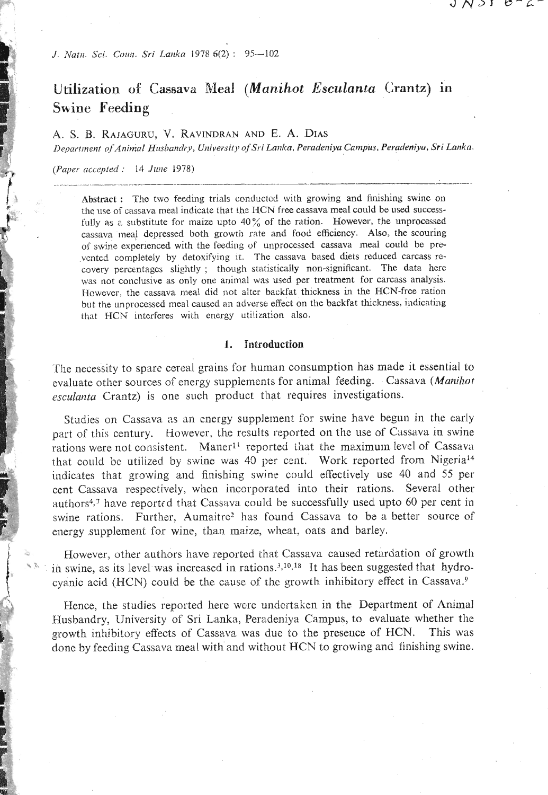J. Natn. Sci. Coun. Sri Lanka 1978 6(2): 95-102

# Utilization of Cassava Meal (Manihot Esculanta Crantz) in Swine Feeding

A. S. B. RAJAGURU, V. RAVINDRAN AND E. A. DIAS Department of Animal Husbandry, University of Sri Lanka, Peradeniya Campus, Peradeniya, Sri Lanka.

J N Y I

 $C - C$ 

(Paper accepted : 14 June 1978)

Abstract: The two feeding trials conducted with growing and finishing swine on the use of cassava meal indicate that the HCN free cassava meal could be used successfully as a substitute for maize upto  $40\%$  of the ration. However, the unprocessed cassava meal depressed both growth rate and food efficiency. Also, the scouring of swine experienced with the feeding of unprocessed cassava meal could be prevented completely by detoxifying it. The cassava based diets reduced carcass recovery percentages slightly; though statistically non-significant. The data here was not conclusive as only one animal was used per treatment for carcass analysis. However, the cassava meal did not alter backfat thickness in the HCN-free ration but the unprocessed meal caused an adverse effect on the backfat thickness, indicating that HCN interferes with energy utilization also.

#### 1. Introduction

The necessity to spare cereal grains for human consumption has made it essential to evaluate other sources of energy supplements for animal feeding. Cassava (Manihot esculanta Crantz) is one such product that requires investigations.

Studies on Cassava as an energy supplement for swine have begun in the early part of this century. However, the results reported on the use of Cassava in swine rations were not consistent. Maner<sup>11</sup> reported that the maximum level of Cassava that could be utilized by swine was 40 per cent. Work reported from Nigeria<sup>14</sup> indicates that growing and finishing swine could effectively use 40 and 55 per cent Cassava respectively, when incorporated into their rations. Several other authors<sup>4,7</sup> have reported that Cassaya could be successfully used upto 60 per cent in swine rations. Further, Aumaitre<sup>2</sup> has found Cassava to be a better source of energy supplement for wine, than maize, wheat, oats and barley.

However, other authors have reported that Cassava caused retardation of growth in swine, as its level was increased in rations.<sup>3,10,18</sup> It has been suggested that hydrocyanic acid (HCN) could be the cause of the growth inhibitory effect in Cassava.<sup>9</sup>

Hence, the studies reported here were undertaken in the Department of Animal Husbandry, University of Sri Lanka, Peradeniya Campus, to evaluate whether the growth inhibitory effects of Cassava was due to the presence of HCN. This was done by feeding Cassava meal with and without HCN to growing and finishing swine.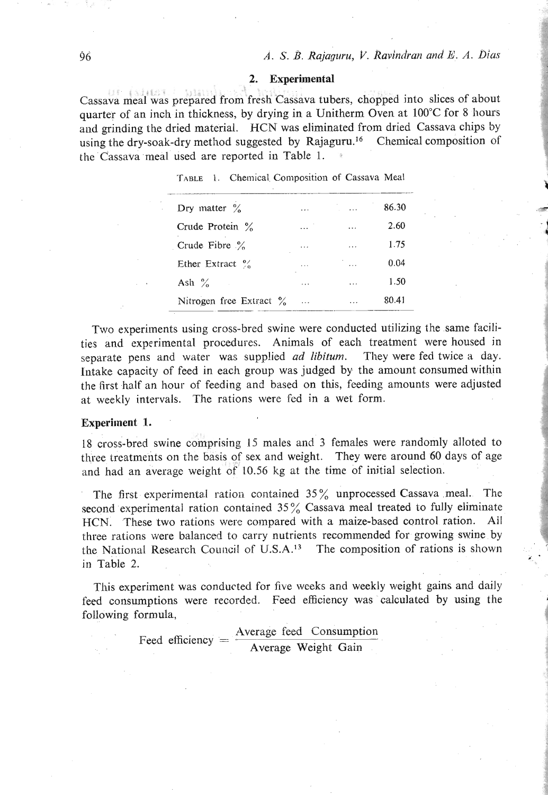#### **2. Experimental**

Cassava meal was prepared from fresh Cassava tubers, chopped into slices of about quarter of an inch in thickness, by drying in a Unitherm Oven at 100°C for 8 hours and grinding the dried material. HCN was eliminated from dried Cassava chips by using the dry-soak-dry method suggested by Rajaguru.<sup>16</sup> Chemical composition of the Cassava meal used are reported in Table 1.

| TABLE 1. Chemical Composition of Cassava Meal |  |
|-----------------------------------------------|--|
|                                               |  |

| Dry matter $\%$             | $\ddotsc$  | in all   | 86.30 | $\sim$ $\sim$              |
|-----------------------------|------------|----------|-------|----------------------------|
| Crude Protein $\%$          | $\cdots$   | $\cdots$ | 2.60  |                            |
| Crude Fibre $\frac{6}{6}$   | $\cdots$   | $\cdots$ | 1.75  | greater the first state of |
| Ether Extract $\frac{9}{6}$ | $\cdots$   | $\cdots$ | 0.04  |                            |
| Ash $\%$                    | $\cdots$   | $\cdots$ | 1.50  |                            |
| Nitrogen free Extract $\%$  | $\sim 100$ | $\cdots$ | 80.41 |                            |

Two experiments using cross-bred swine were conducted utilizing the same facilities and experimental procedures. Animals of each treatment were housed in separate pens and water was supplied *ad* **libitum.** They were fed twice a day. Intake capacity of feed in each group was judged by the amount consumed within the first half an hour of feeding and based on this, feeding amounts were adjusted at weekly intervals. The rations were fed in a wet form.

#### **Experiment 1.**

18 cross-bred swine comprising 15 males and **3** females were randomly alloted to three treatments on the basis of sex and weight. They were around **60** days of age and had an average weight of **10.56** kg at the time of initial selection.

The first experimental ration contained **35%** unprocessed Cassava meal. Thc second experimental ration contained 35% Cassava meal treated to fully eliminate HCN. These two rations were compared with a maize-based control ration. Ail three rations were balanced to carry nutrients recommended for growing swine by the National Research Council of U.S.A.<sup>13</sup> The composition of rations is shown in Table 2.

This experiment was conducted for five weeks and weekly weight gains and daily feed consumptions were recorded. Feed efficiency was calculated by using the following formula,

Feed efficiency  $=$   $\frac{\text{Average feed} \text{ Consumption}}{\text{Average Weight Gain}}$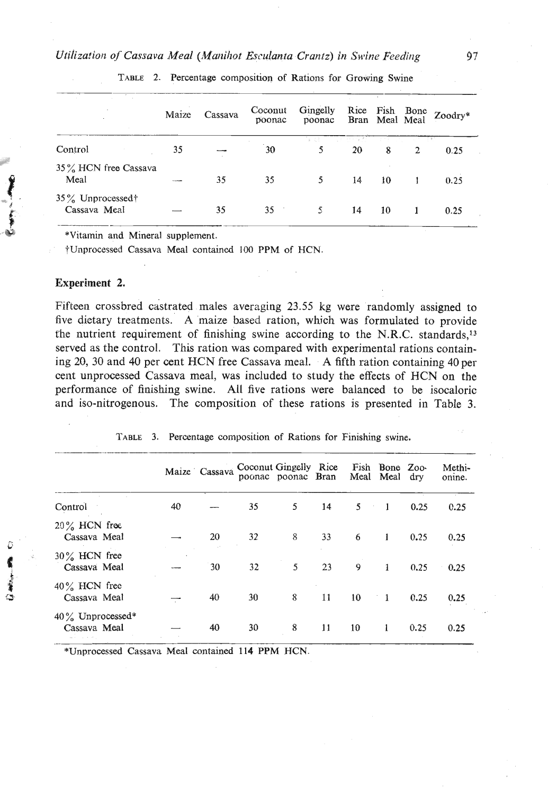|                                     | Maize | Cassava | Coconut<br>poonac | Gingelly<br>poonac |    |    | Rice Fish Bone Zoodry*<br>Bran Meal Meal Zoodry* |
|-------------------------------------|-------|---------|-------------------|--------------------|----|----|--------------------------------------------------|
| Control                             | 35    |         | 30                |                    | 20 | 8  | 0.25                                             |
| 35% HCN free Cassava<br>Meal        |       | 35      | 35                | 5                  | 14 | 10 | 0.25                                             |
| $35\%$ Unprocessed†<br>Cassava Meal |       | 35      | 35                | 5.                 | 14 | 10 | 0.25                                             |

TABLE 2. Percentage composition of Rations for Growing Swine

\*Vitamin and Mineral supplement.

fUnprocessed Cassava Meal contained 100 PPM of HCN.

#### **Experiment 2.**

.%' . 35 % Unprocessed?

Fifteen crossbred castrated males averaging 23.55 kg were randomly assigned to five dictary treatments. A maize based ration, which was formulated to provide the nutrient requirement of finishing swine according to the N.R.C. standards,'3 served as the control. This ration was compared with experimental rations containing 20, 30 and 40 per cent HCN free Cassava meal. A fifth ration containing 40 per cent unprocessed Cassava meal, was included to study the effects of HCN on the performance of finishing swine. All five rations were balanced to be isocaloric and iso-nitrogenous. The composition of these rations is presented in Table **3.** 

|                                     |    | Maize Cassava | Coconut Gingelly Rice | poonac poonac Bran |    |                | Fish Bone Zoo-<br>Meal Meal dry  |      | Methi-<br>onine. |
|-------------------------------------|----|---------------|-----------------------|--------------------|----|----------------|----------------------------------|------|------------------|
| Control                             | 40 |               | 35                    | 5                  | 14 | 5 <sup>1</sup> | $\overline{1}$<br>$\sim 10^{-1}$ | 0.25 | 0.25             |
| $20\%$ HCN free<br>Cassava Meal     |    | 20            | 32                    | 8                  | 33 | 6              | 1                                | 0.25 | 0.25             |
| $30\%$ HCN free<br>Cassava Meal     |    | 30            | 32                    | 5                  | 23 | 9              | 1                                | 0.25 | 0.25             |
| $40\%$ HCN free<br>Cassava Meal     |    | 40            | 30                    | 8                  | 11 | 10             | $\overline{1}$                   | 0.25 | 0.25             |
| $40\%$ Unprocessed*<br>Cassava Meal |    | 40            | 30                    | 8                  | 11 | 10             | 1                                | 0.25 | 0.25             |

**TABLE** 3. Percentage composition of Rations for Finishing swine.

\*Unprocessed Cassava Meal contained 114 PPM HCN.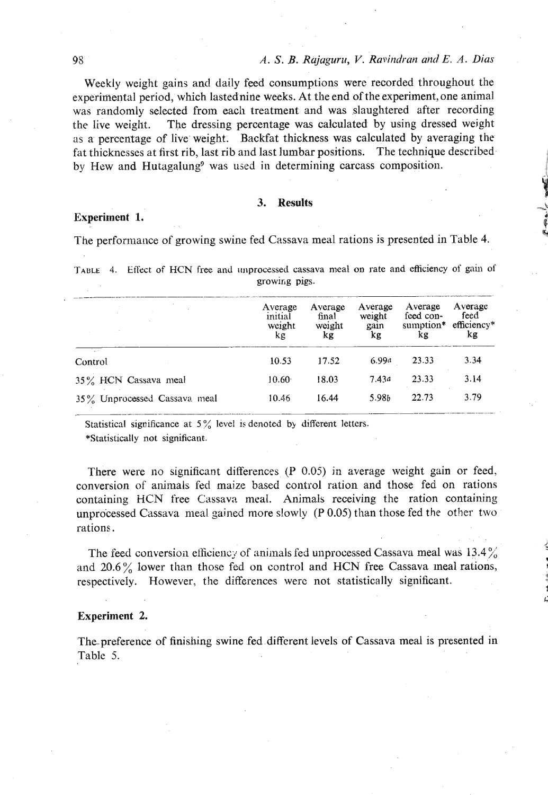Weekly weight gains and daily feed consumptions were recorded throughout the experimental period, which lastednine weeks. At the end of the experiment, one animal was randomly selected from each treatment and was slaughtered after recording the live weight. The dressing percentage was calculated by using dressed weight as a percentage of live weight. Backfat thickness was calculated by averaging the fat thicknesses at first rib, last rib and last lumbar positions. The technique described by Hew and Hutagalung<sup>9</sup> was used in determining carcass composition.

# **3. Results**

### **Experiment 1.**

The performance of growing swine fed Cassava meal rations is presented in Table 4.

**TABLE** 4. Effect of HCN free and unprocessed cassava meal on rate and efficiency of gain of growing pigs.

|                              | Average<br>initial<br>weight<br>kg | Average<br>final<br>woight<br>kg | Average<br>weight<br>gain<br>kg | Average<br>feed con-<br>sumption*<br>kg | Average<br>feed<br>efficiency*<br>kg |
|------------------------------|------------------------------------|----------------------------------|---------------------------------|-----------------------------------------|--------------------------------------|
| $\Delta=0.1$<br>Control      | 10.53                              | 17.52                            | 6.99a                           | 23.33                                   | 3.34                                 |
| 35% HCN Cassava meal         | 10.60 <sup>°</sup>                 | 18.03                            | 7.43a                           | 23.33                                   | 3.14                                 |
| 35% Unprocessed Cassava meal | 10.46                              | 16.44                            | 5.98b                           | 22.73                                   | 3.79                                 |

**\*Statistically not significant.** 

There were no significant differences (P 0.05) in average weight gain or feed, conversion of animals fed maize based control ration and those fed on rations containing HCN free Cassava meal. Animals receiving the ration containing unprocessed Cassava meal gained more slowly (P 0.05) than those fed the other two rations.

The feed conversion efficiency of animals fed unprocessed Cassava meal was  $13.4\%$ and  $20.6\%$  lower than those fed on control and HCN free Cassava meal rations, respectively. However, the differences werc not statistically significant.

**L** 

#### **Experiment 2.**

The preference of finishing swine fed different levels of Cassava meal is presented in Table 5.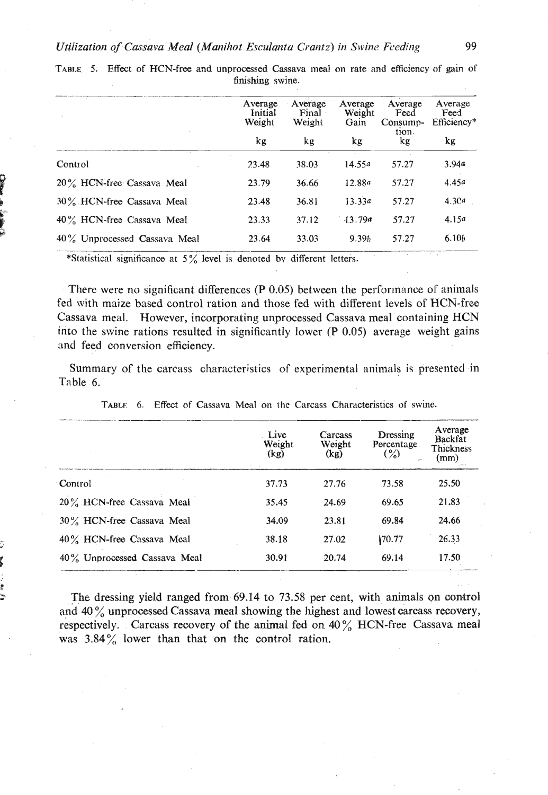|                                 | Average<br>Initial<br>Weight | Average<br>Final<br>Weight |           | Average<br>Weight<br>Feed<br>Consump-<br>tion. | Average<br>Feed<br>Efficiency* |
|---------------------------------|------------------------------|----------------------------|-----------|------------------------------------------------|--------------------------------|
|                                 | kg                           | kg                         | kg        | kg                                             | kg                             |
| Control                         | 23.48                        | 38.03                      | 14.55a    | 57.27                                          | 3.94a                          |
| 20% HCN-free Cassava Meal       | 23.79                        | 36.66                      | 12.88a    | 57.27                                          | 4.45a                          |
| 30% HCN-free Cassava Meal       | 23.48                        | 36.81                      | 13.33a    | 57.27                                          | 4.3Ca                          |
| 40% HCN-free Cassava Meal       | 23.33                        | 37.12                      | $-13.79a$ | 57.27                                          | 4.15a                          |
| $40\%$ Unprocessed Cassava Meal | 23.64                        | 33.03                      | 9.39b     | 57.27                                          | 6.10b                          |

TABLE 5. Effect of HCN-free and unprocessed Cassava meal on rate and efficiency of gain of finishing swine.

\*Statistical significance at 5% level is denoted by different letters.

There were no significant differences (P 0.05) between the performance of animals fed with maize based control ration and those fed with different levels of HCN-free Cassava meal. However, incorporating unprocessed Cassava meal containing HCN into the swine rations resulted in significantly lower (P 0.05) average weight gains and feed conversion efficiency.

Summary of the carcass characteristics of experimental animals is presented in Table 6.

|                              | Live<br>Weight<br>(kg) | Carcass<br>Weight<br>(kg) | Dressing<br>Percentage<br>$\binom{9}{0}$ | Average<br>Backfat<br>Thickness<br>(mm) |
|------------------------------|------------------------|---------------------------|------------------------------------------|-----------------------------------------|
| Control                      | 37.73                  | 27.76                     | 73.58                                    | 25.50                                   |
| 20% HCN-free Cassava Meal    | 35.45                  | 24.69                     | 69.65                                    | 21.83                                   |
| 30% HCN-free Cassava Meal    | 34.09                  | 23.81                     | 69.84                                    | 24.66                                   |
| 40% HCN-free Cassava Meal    | 38.18                  | 27.02                     | 170.77                                   | 26.33                                   |
| 40% Unprocessed Cassava Meal | 30.91                  | 20.74                     | 69.14                                    | 17.50                                   |

TABLE 6. Effect of Cassava Meal on the Carcass Characteristics of swine.

The dressing yield ranged from 69.14 to 73.58 per cent, with animals on control and 40 $\%$  unprocessed Cassava meal showing the highest and lowest carcass recovery, respectively. Carcass recovery of the animal fed on  $40\%$  HCN-free Cassava meal was  $3.84\%$  lower than that on the control ration.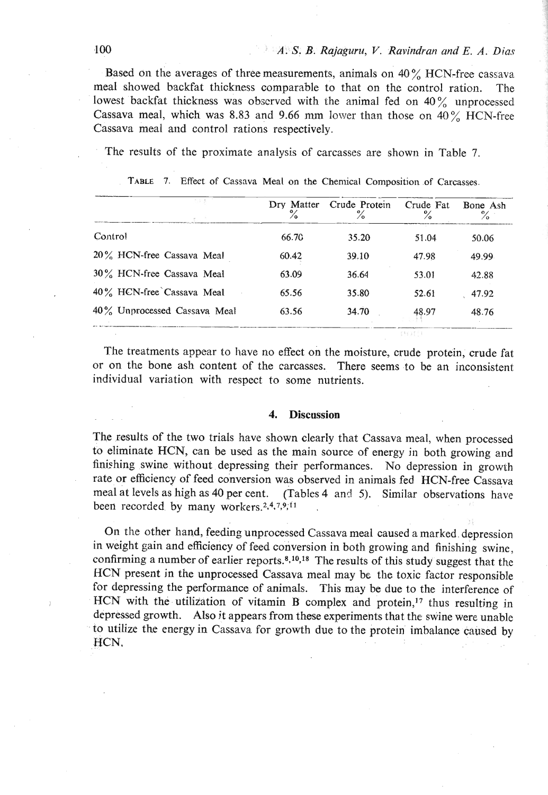Based on the averages of three measurements, animals on 40% HCN-free cassava meal showed backfat thickness comparable to that on the control ration. The lowest backfat thickness was obscrved with the animal fed on  $40\%$  unprocessed Cassava meal, which was 8.83 and 9.66 mm lower than those on 40% HCN-free Cassava meal and control rations respectively.

| TABLE 7. Effect of Cassava Meal on the Chemical Composition of Carcasses. |                 |                                |                |                  |
|---------------------------------------------------------------------------|-----------------|--------------------------------|----------------|------------------|
|                                                                           | Dry Matter<br>℅ | Crude Protein<br>$\frac{6}{6}$ | Crude Fat<br>℅ | Bone Ash<br>$\%$ |
| Control                                                                   | 66.70           | 35.20                          | 51.04          | 50.06            |
| 20% HCN-free Cassava Meal                                                 | 60.42           | 39.10                          | 47.98          | 49.99            |
| 30% HCN-free Cassava Meal                                                 | 63.09           | 36.64                          | 53.01          | 42.88            |
| 40% HCN-free Cassava Meal                                                 | 65.56           | 35.80                          | 52.61          | 47.92            |
| 40% Unprocessed Cassava Meal                                              | 63.56           | 34.70                          | 48.97          | 48.76            |
|                                                                           |                 |                                | $(1)$ $(1)$    |                  |

The treatments appear to have no effect on the moisture, crude protein, crude fat or on the bone ash content of the carcasses. There seems to be an inconsistent individual variation with respect to some nutrients.

#### **4. Discussion**

The results of the two trials have shown clearly that Cassava meal, when processed to eliminate HCN, can be used as the main source of energy in both growing and finishing swine without depressing their performances. No depression in growth rate or efficiency of feed conversion was observed in animals fed HCN-free Cassava meal at levels as high as 40 per cent. (Tables 4 and 5). Similar observations have been recorded by many workers.<sup>2,4,7,9,11</sup>

**011** the other hand, feeding unprocessed Cassava meal caused a marked depression in weight gain and efficiency of feed conversion in both growing and finishing swine, confirming a number of earlier reports.<sup>8,10,18</sup> The results of this study suggest that the HCN present in the unprocessed Cassava meal may be the toxic factor responsible for depressing the performance of animals. This may be due to the interference of HCN with the utilization of vitamin B complex and protein,<sup>17</sup> thus resulting in depressed growth. Also jt appears from these experiments that the swine were unable to utilize the energy in Cassava for growth due to the protein imbalance caused by HCN.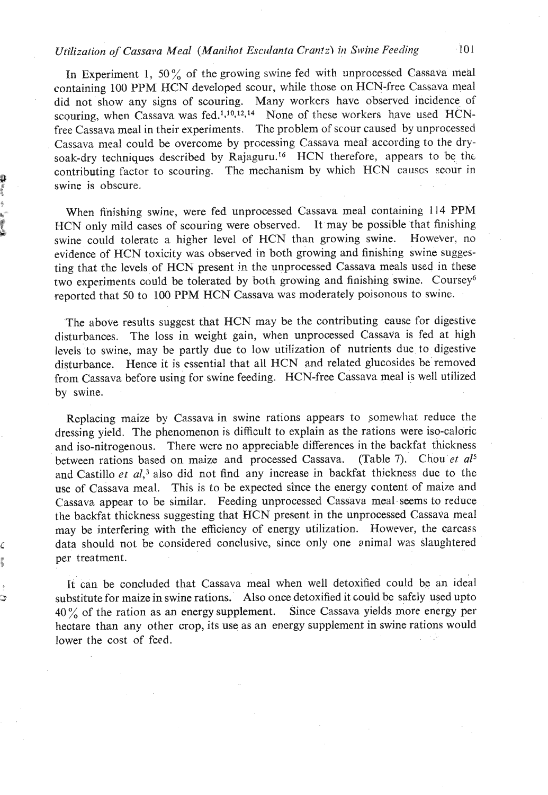# *Utilization of Cassava Meal (Manihot Esc~danta Cran!z)* **in Sivine** *Feeding* **101**

In Experiment 1, 50% of the growing swine fed with unprocessed Cassava meal containing 100 PPM HCN developed scour, while those on HCN-free Cassava meal did not show any signs of scouring. Many workers have observed incidence of scouring, when Cassava was fed.<sup>1,10,12,14</sup> None of these workers have used HCNfree Cassava meal in their experiments. The problem of scour caused by unprocessed Cassava meal could be overcome by precessing Cassava meal according to the drysoak-dry techniques described by Rajaguru.<sup>16</sup> HCN therefore, appears to be the contributing factor to scouring. The mechanism by which HCN causes scour in swine is obscure.

When finishing swine, were fed unprocessed Cassava meal containing 114 PPM HCN only mild cases of scouring were observed. It may be possible that finishing swine could tolerate a higher level of HCN than growing swine. However, no evidence of HCN toxicity was observed in both growing and finishing swine suggesting that the levels of HCN present in the unprocessed Cassava meals used in these two experiments could be tolerated by both growing and finishing swine. Coursey<sup>6</sup> reported that 50 to 100 PPM HCN Cassava was moderately poisonous to swine.

The above results suggest that HCN may be the contributing cause for digestive disturbances. The loss in weight gain, when unprocessed Cassava is fed at high levels to swine, may be partly due to low utilization of nutrients due to digestive disturbance. Hence it is essential that all HCN and related glucosides be removed from Cassava before using for swine feeding. HCN-free Cassava meal is well utilized by swine.

Replacing maize by Cassava in swine rations appears to somewhat reduce the dressing yield. The phenomenon is difficult to explain as tbe rations were iso-caloric and iso-nitrogenous. There were no appreciable differences in the backfat thickness between rations based on maize and processed Cassava. (Table **7).** Chou *et a15*  and Castillo et al,<sup>3</sup> also did not find any increase in backfat thickness due to the use of Cassava meal. This is to be expected since the energy content of maize and Cassava appear to be similar. Feeding unprocessed Cassava meal seems to reduce the backfat thickness suggesting that HCN present in the unprocessed Cassava meal may be interfering with the efficiency of energy utilization. However, the carcass data should not be considered conclusive, since only one snimal was slaughtered per treatment.

It can be concluded that Cassava meal when well detoxified could be an ideal substitute for maize in swine rations.' Also once detoxified it could be safely used upto  $40\%$  of the ration as an energy supplement. Since Cassava yields more energy per hectare than any other crop, its use as an energy supplement in swine rations would lower the cost of feed.

S